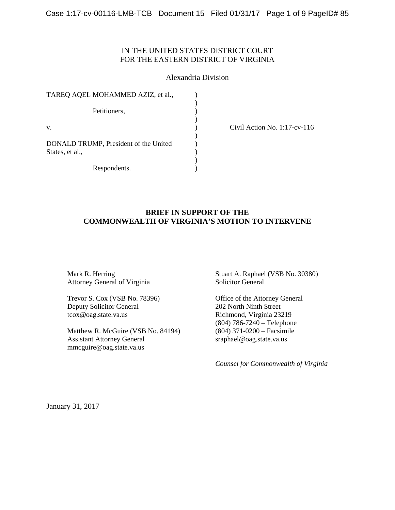# IN THE UNITED STATES DISTRICT COURT FOR THE EASTERN DISTRICT OF VIRGINIA

### Alexandria Division

| TAREQ AQEL MOHAMMED AZIZ, et al.,                        |  |
|----------------------------------------------------------|--|
| Petitioners,                                             |  |
| V.                                                       |  |
| DONALD TRUMP, President of the United<br>States, et al., |  |
| Respondents.                                             |  |

(a) Civil Action No. 1:17-cv-116

# **BRIEF IN SUPPORT OF THE COMMONWEALTH OF VIRGINIA'S MOTION TO INTERVENE**

Mark R. Herring Attorney General of Virginia

Trevor S. Cox (VSB No. 78396) Deputy Solicitor General tcox@oag.state.va.us

Matthew R. McGuire (VSB No. 84194) Assistant Attorney General mmcguire@oag.state.va.us

Stuart A. Raphael (VSB No. 30380) Solicitor General

Office of the Attorney General 202 North Ninth Street Richmond, Virginia 23219 (804) 786-7240 – Telephone (804) 371-0200 – Facsimile sraphael@oag.state.va.us

*Counsel for Commonwealth of Virginia*

January 31, 2017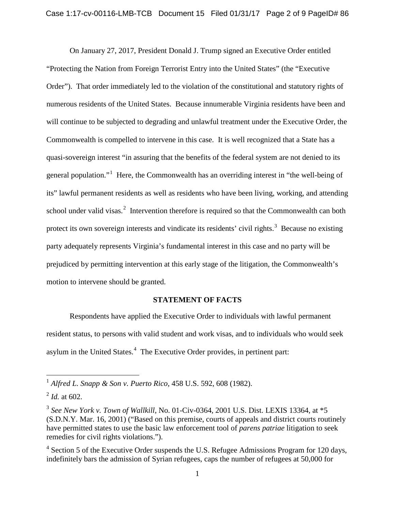On January 27, 2017, President Donald J. Trump signed an Executive Order entitled "Protecting the Nation from Foreign Terrorist Entry into the United States" (the "Executive Order"). That order immediately led to the violation of the constitutional and statutory rights of numerous residents of the United States. Because innumerable Virginia residents have been and will continue to be subjected to degrading and unlawful treatment under the Executive Order, the Commonwealth is compelled to intervene in this case. It is well recognized that a State has a quasi-sovereign interest "in assuring that the benefits of the federal system are not denied to its general population."[1](#page-1-0) Here, the Commonwealth has an overriding interest in "the well-being of its" lawful permanent residents as well as residents who have been living, working, and attending school under valid visas.<sup>[2](#page-1-1)</sup> Intervention therefore is required so that the Commonwealth can both protect its own sovereign interests and vindicate its residents' civil rights.<sup>[3](#page-1-2)</sup> Because no existing party adequately represents Virginia's fundamental interest in this case and no party will be prejudiced by permitting intervention at this early stage of the litigation, the Commonwealth's motion to intervene should be granted.

#### **STATEMENT OF FACTS**

Respondents have applied the Executive Order to individuals with lawful permanent resident status, to persons with valid student and work visas, and to individuals who would seek asylum in the United States.<sup>[4](#page-1-3)</sup> The Executive Order provides, in pertinent part:

<span id="page-1-0"></span> <sup>1</sup> *Alfred L. Snapp & Son v. Puerto Rico*, 458 U.S. 592, 608 (1982).

<span id="page-1-1"></span> $^{2}$  *Id.* at 602.

<span id="page-1-2"></span><sup>3</sup> *See New York v. Town of Wallkill*, No. 01-Civ-0364, 2001 U.S. Dist. LEXIS 13364, at \*5 (S.D.N.Y. Mar. 16, 2001) ("Based on this premise, courts of appeals and district courts routinely have permitted states to use the basic law enforcement tool of *parens patriae* litigation to seek remedies for civil rights violations.").

<span id="page-1-3"></span> $4$  Section 5 of the Executive Order suspends the U.S. Refugee Admissions Program for 120 days, indefinitely bars the admission of Syrian refugees, caps the number of refugees at 50,000 for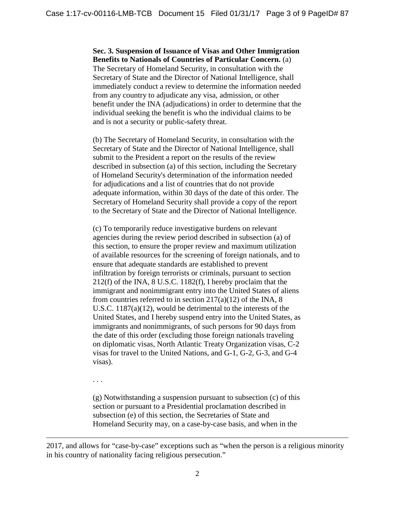**Sec. 3. Suspension of Issuance of Visas and Other Immigration Benefits to Nationals of Countries of Particular Concern.** (a) The Secretary of Homeland Security, in consultation with the Secretary of State and the Director of National Intelligence, shall immediately conduct a review to determine the information needed from any country to adjudicate any visa, admission, or other benefit under the INA (adjudications) in order to determine that the individual seeking the benefit is who the individual claims to be and is not a security or public-safety threat.

(b) The Secretary of Homeland Security, in consultation with the Secretary of State and the Director of National Intelligence, shall submit to the President a report on the results of the review described in subsection (a) of this section, including the Secretary of Homeland Security's determination of the information needed for adjudications and a list of countries that do not provide adequate information, within 30 days of the date of this order. The Secretary of Homeland Security shall provide a copy of the report to the Secretary of State and the Director of National Intelligence.

(c) To temporarily reduce investigative burdens on relevant agencies during the review period described in subsection (a) of this section, to ensure the proper review and maximum utilization of available resources for the screening of foreign nationals, and to ensure that adequate standards are established to prevent infiltration by foreign terrorists or criminals, pursuant to section 212(f) of the INA, 8 U.S.C. 1182(f), I hereby proclaim that the immigrant and nonimmigrant entry into the United States of aliens from countries referred to in section  $217(a)(12)$  of the INA, 8 U.S.C. 1187(a)(12), would be detrimental to the interests of the United States, and I hereby suspend entry into the United States, as immigrants and nonimmigrants, of such persons for 90 days from the date of this order (excluding those foreign nationals traveling on diplomatic visas, North Atlantic Treaty Organization visas, C-2 visas for travel to the United Nations, and G-1, G-2, G-3, and G-4 visas).

. . .

 $\overline{a}$ 

(g) Notwithstanding a suspension pursuant to subsection (c) of this section or pursuant to a Presidential proclamation described in subsection (e) of this section, the Secretaries of State and Homeland Security may, on a case-by-case basis, and when in the

2017, and allows for "case-by-case" exceptions such as "when the person is a religious minority in his country of nationality facing religious persecution."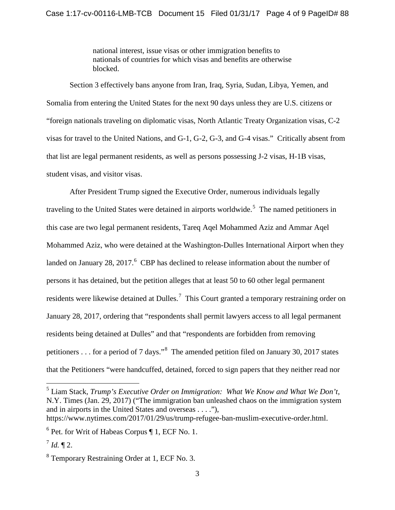national interest, issue visas or other immigration benefits to nationals of countries for which visas and benefits are otherwise blocked.

Section 3 effectively bans anyone from Iran, Iraq, Syria, Sudan, Libya, Yemen, and Somalia from entering the United States for the next 90 days unless they are U.S. citizens or "foreign nationals traveling on diplomatic visas, North Atlantic Treaty Organization visas, C-2 visas for travel to the United Nations, and G-1, G-2, G-3, and G-4 visas." Critically absent from that list are legal permanent residents, as well as persons possessing J-2 visas, H-1B visas, student visas, and visitor visas.

After President Trump signed the Executive Order, numerous individuals legally traveling to the United States were detained in airports worldwide.<sup>[5](#page-3-0)</sup> The named petitioners in this case are two legal permanent residents, Tareq Aqel Mohammed Aziz and Ammar Aqel Mohammed Aziz, who were detained at the Washington-Dulles International Airport when they landed on January 28, 2017. $<sup>6</sup>$  $<sup>6</sup>$  $<sup>6</sup>$  CBP has declined to release information about the number of</sup> persons it has detained, but the petition alleges that at least 50 to 60 other legal permanent residents were likewise detained at Dulles.<sup>[7](#page-3-2)</sup> This Court granted a temporary restraining order on January 28, 2017, ordering that "respondents shall permit lawyers access to all legal permanent residents being detained at Dulles" and that "respondents are forbidden from removing petitioners . . . for a period of 7 days."<sup>[8](#page-3-3)</sup> The amended petition filed on January 30, 2017 states that the Petitioners "were handcuffed, detained, forced to sign papers that they neither read nor

<span id="page-3-0"></span> 5 Liam Stack, *Trump's Executive Order on Immigration: What We Know and What We Don't*, N.Y. Times (Jan. 29, 2017) ("The immigration ban unleashed chaos on the immigration system and in airports in the United States and overseas . . . ."),

[https://www.nytimes.com/2017/01/29/us/trump-refugee-ban-muslim-executive-order.html.](https://www.nytimes.com/2017/01/29/us/trump-refugee-ban-muslim-executive-order.html)

<span id="page-3-1"></span> $6$  Pet. for Writ of Habeas Corpus  $\P$  1, ECF No. 1.

<span id="page-3-2"></span> $^{7}$  *Id.*  $\P$  2.

<span id="page-3-3"></span><sup>8</sup> Temporary Restraining Order at 1, ECF No. 3.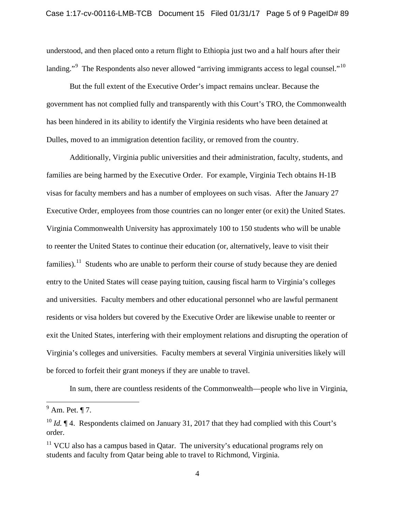understood, and then placed onto a return flight to Ethiopia just two and a half hours after their landing."<sup>[9](#page-4-0)</sup> The Respondents also never allowed "arriving immigrants access to legal counsel."<sup>[10](#page-4-1)</sup>

But the full extent of the Executive Order's impact remains unclear. Because the government has not complied fully and transparently with this Court's TRO, the Commonwealth has been hindered in its ability to identify the Virginia residents who have been detained at Dulles, moved to an immigration detention facility, or removed from the country.

Additionally, Virginia public universities and their administration, faculty, students, and families are being harmed by the Executive Order. For example, Virginia Tech obtains H-1B visas for faculty members and has a number of employees on such visas. After the January 27 Executive Order, employees from those countries can no longer enter (or exit) the United States. Virginia Commonwealth University has approximately 100 to 150 students who will be unable to reenter the United States to continue their education (or, alternatively, leave to visit their families).<sup>[11](#page-4-2)</sup> Students who are unable to perform their course of study because they are denied entry to the United States will cease paying tuition, causing fiscal harm to Virginia's colleges and universities. Faculty members and other educational personnel who are lawful permanent residents or visa holders but covered by the Executive Order are likewise unable to reenter or exit the United States, interfering with their employment relations and disrupting the operation of Virginia's colleges and universities. Faculty members at several Virginia universities likely will be forced to forfeit their grant moneys if they are unable to travel.

In sum, there are countless residents of the Commonwealth—people who live in Virginia,

<span id="page-4-0"></span> $<sup>9</sup>$  Am. Pet. ¶ 7.</sup>

<span id="page-4-1"></span><sup>&</sup>lt;sup>10</sup> *Id.* ¶ 4. Respondents claimed on January 31, 2017 that they had complied with this Court's order.

<span id="page-4-2"></span> $11$  VCU also has a campus based in Qatar. The university's educational programs rely on students and faculty from Qatar being able to travel to Richmond, Virginia.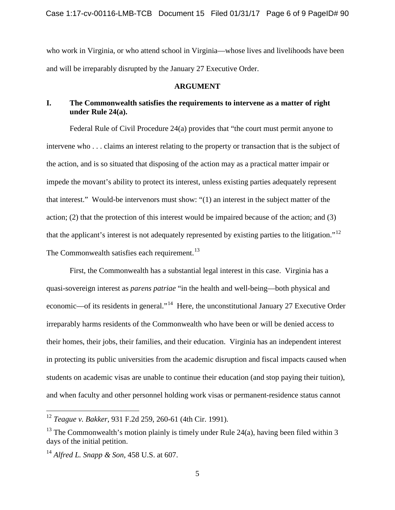who work in Virginia, or who attend school in Virginia—whose lives and livelihoods have been and will be irreparably disrupted by the January 27 Executive Order.

### **ARGUMENT**

# **I. The Commonwealth satisfies the requirements to intervene as a matter of right under Rule 24(a).**

Federal Rule of Civil Procedure 24(a) provides that "the court must permit anyone to intervene who . . . claims an interest relating to the property or transaction that is the subject of the action, and is so situated that disposing of the action may as a practical matter impair or impede the movant's ability to protect its interest, unless existing parties adequately represent that interest." Would-be intervenors must show: "(1) an interest in the subject matter of the action; (2) that the protection of this interest would be impaired because of the action; and (3) that the applicant's interest is not adequately represented by existing parties to the litigation."<sup>12</sup> The Commonwealth satisfies each requirement.<sup>[13](#page-5-1)</sup>

First, the Commonwealth has a substantial legal interest in this case. Virginia has a quasi-sovereign interest as *parens patriae* "in the health and well-being—both physical and economic—of its residents in general."[14](#page-5-2) Here, the unconstitutional January 27 Executive Order irreparably harms residents of the Commonwealth who have been or will be denied access to their homes, their jobs, their families, and their education. Virginia has an independent interest in protecting its public universities from the academic disruption and fiscal impacts caused when students on academic visas are unable to continue their education (and stop paying their tuition), and when faculty and other personnel holding work visas or permanent-residence status cannot

<span id="page-5-0"></span> <sup>12</sup> *Teague v. Bakker*, 931 F.2d 259, 260-61 (4th Cir. 1991).

<span id="page-5-1"></span><sup>&</sup>lt;sup>13</sup> The Commonwealth's motion plainly is timely under Rule 24(a), having been filed within 3 days of the initial petition.

<span id="page-5-2"></span><sup>14</sup> *Alfred L. Snapp & Son*, 458 U.S. at 607.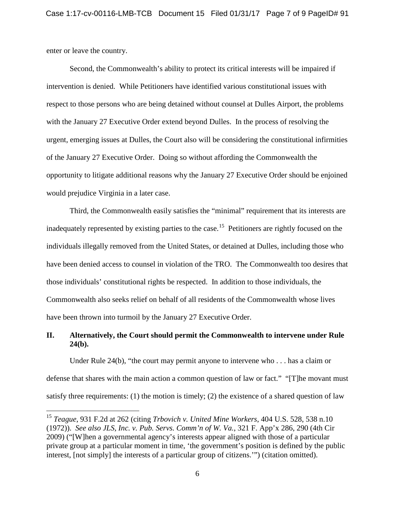enter or leave the country.

Second, the Commonwealth's ability to protect its critical interests will be impaired if intervention is denied. While Petitioners have identified various constitutional issues with respect to those persons who are being detained without counsel at Dulles Airport, the problems with the January 27 Executive Order extend beyond Dulles. In the process of resolving the urgent, emerging issues at Dulles, the Court also will be considering the constitutional infirmities of the January 27 Executive Order. Doing so without affording the Commonwealth the opportunity to litigate additional reasons why the January 27 Executive Order should be enjoined would prejudice Virginia in a later case.

Third, the Commonwealth easily satisfies the "minimal" requirement that its interests are inadequately represented by existing parties to the case.<sup>15</sup> Petitioners are rightly focused on the individuals illegally removed from the United States, or detained at Dulles, including those who have been denied access to counsel in violation of the TRO. The Commonwealth too desires that those individuals' constitutional rights be respected. In addition to those individuals, the Commonwealth also seeks relief on behalf of all residents of the Commonwealth whose lives have been thrown into turmoil by the January 27 Executive Order.

# **II. Alternatively, the Court should permit the Commonwealth to intervene under Rule 24(b).**

Under Rule 24(b), "the court may permit anyone to intervene who . . . has a claim or defense that shares with the main action a common question of law or fact." "[T]he movant must satisfy three requirements: (1) the motion is timely; (2) the existence of a shared question of law

<span id="page-6-0"></span> <sup>15</sup> *Teague*, 931 F.2d at 262 (citing *Trbovich v. United Mine Workers*, 404 U.S. 528, 538 n.10 (1972)). *See also JLS, Inc. v. Pub. Servs. Comm'n of W. Va.*, 321 F. App'x 286, 290 (4th Cir 2009) ("[W]hen a governmental agency's interests appear aligned with those of a particular private group at a particular moment in time, 'the government's position is defined by the public interest, [not simply] the interests of a particular group of citizens.'") (citation omitted).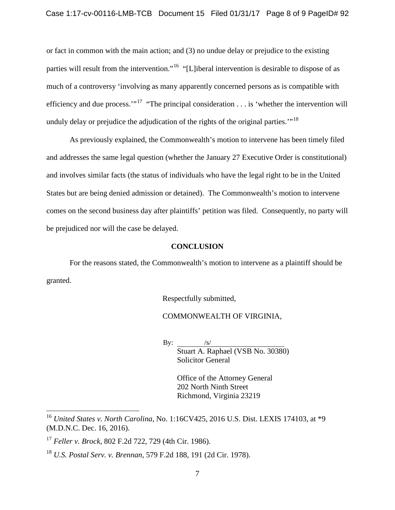or fact in common with the main action; and (3) no undue delay or prejudice to the existing parties will result from the intervention."<sup>[16](#page-7-0)</sup> "[L]iberal intervention is desirable to dispose of as much of a controversy 'involving as many apparently concerned persons as is compatible with efficiency and due process. $17 \text{°}$  $17 \text{°}$  "The principal consideration . . . is 'whether the intervention will unduly delay or prejudice the adjudication of the rights of the original parties."<sup>[18](#page-7-2)</sup>

As previously explained, the Commonwealth's motion to intervene has been timely filed and addresses the same legal question (whether the January 27 Executive Order is constitutional) and involves similar facts (the status of individuals who have the legal right to be in the United States but are being denied admission or detained). The Commonwealth's motion to intervene comes on the second business day after plaintiffs' petition was filed. Consequently, no party will be prejudiced nor will the case be delayed.

#### **CONCLUSION**

For the reasons stated, the Commonwealth's motion to intervene as a plaintiff should be granted.

Respectfully submitted,

### COMMONWEALTH OF VIRGINIA,

 $By:$ Stuart A. Raphael (VSB No. 30380) Solicitor General

> Office of the Attorney General 202 North Ninth Street Richmond, Virginia 23219

<span id="page-7-0"></span> <sup>16</sup> *United States v. North Carolina*, No. 1:16CV425, 2016 U.S. Dist. LEXIS 174103, at \*9 (M.D.N.C. Dec. 16, 2016).

<span id="page-7-1"></span><sup>17</sup> *Feller v. Brock*, 802 F.2d 722, 729 (4th Cir. 1986).

<span id="page-7-2"></span><sup>18</sup> *U.S. Postal Serv. v. Brennan*, 579 F.2d 188, 191 (2d Cir. 1978).